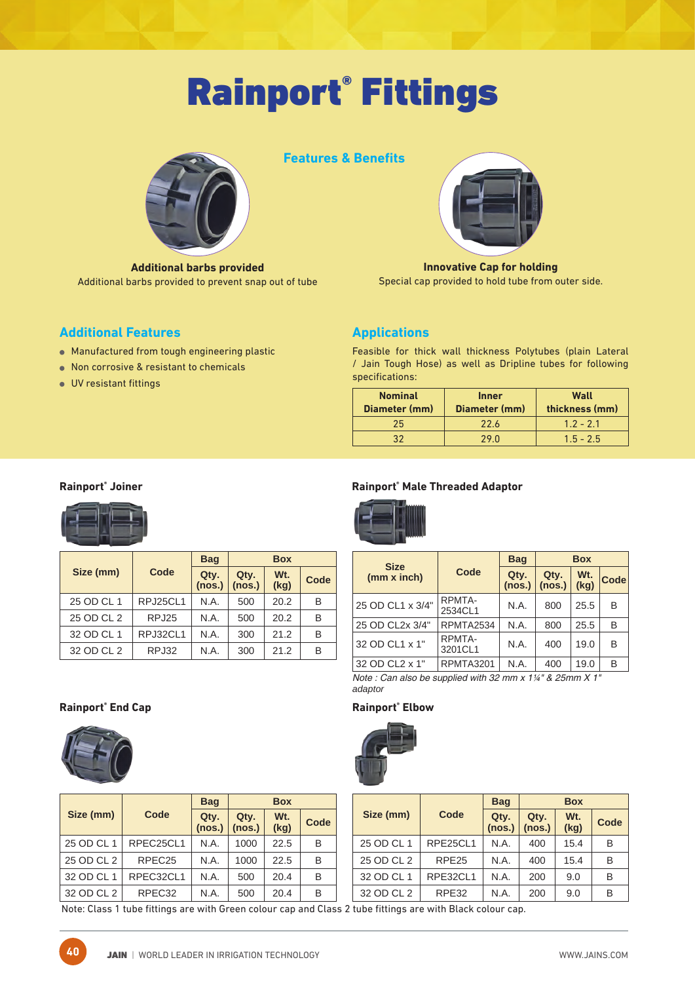# Rainport® Fittings



**Additional barbs provided** Additional barbs provided to prevent snap out of tube

# **Features & Benefits**



**Innovative Cap for holding** Special cap provided to hold tube from outer side.

# **Additional Features**

- Manufactured from tough engineering plastic
- Non corrosive & resistant to chemicals
- UV resistant fittings

# **Applications**

Feasible for thick wall thickness Polytubes (plain Lateral / Jain Tough Hose) as well as Dripline tubes for following specifications:

| <b>Nominal</b><br>Diameter (mm) | <b>Inner</b><br>Diameter (mm) | Wall<br>thickness (mm) |  |  |
|---------------------------------|-------------------------------|------------------------|--|--|
| 25                              | 22.6                          | $1.2 - 2.1$            |  |  |
| っっ                              | 29.O                          | $1.5 - 2.5$            |  |  |

### **Rainport® Joiner**



|            |          | <b>Bag</b>     |                | <b>Box</b>              |      |
|------------|----------|----------------|----------------|-------------------------|------|
| Size (mm)  | Code     | Qty.<br>(nos.) | Qty.<br>(nos.) | W <sub>t.</sub><br>(kg) | Code |
| 25 OD CL 1 | RPJ25CL1 | N.A.           | 500            | 20.2                    | B    |
| 25 OD CL 2 | RPJ25    | N.A.           | 500            | 20.2                    | в    |
| 32 OD CL 1 | RPJ32CL1 | N.A.           | 300            | 21.2                    | в    |
| 32 OD CL 2 | RPJ32    | N.A.           | 300            | 21.2                    | в    |

### **Rainport® Male Threaded Adaptor**



| <b>Size</b>      | <b>Bag</b>        |                | <b>Box</b>     |                         |             |  |
|------------------|-------------------|----------------|----------------|-------------------------|-------------|--|
| (mm x inch)      | Code              | Qty.<br>(nos.) | Qty.<br>(nos.) | W <sub>t.</sub><br>(kg) | <b>Code</b> |  |
| 25 OD CL1 x 3/4" | RPMTA-<br>2534CL1 | N.A.           | 800            | 25.5                    | B           |  |
| 25 OD CL2x 3/4"  | RPMTA2534         | N.A.           | 800            | 25.5                    | B           |  |
| 32 OD CL1 x 1"   | RPMTA-<br>3201CL1 | N.A.           | 400            | 19.0                    | B           |  |
| 32 OD CL2 x 1"   | <b>RPMTA3201</b>  | N.A.           | 400            | 19.0                    | B           |  |

Note : Can also be supplied with 32 mm x 1¼" & 25mm X 1" *adaptor*

### **End Cap Rainport® Elbow**



|            |                        | <b>Bag</b> | <b>Box</b>     |             |      |
|------------|------------------------|------------|----------------|-------------|------|
| Size (mm)  | Code<br>Qty.<br>(nos.) |            | Qty.<br>(nos.) | Wt.<br>(kg) | Code |
| 25 OD CL 1 | RPE25CL1               | N.A.       | 400            | 15.4        | B    |
| 25 OD CL 2 | RPE <sub>25</sub>      | N.A.       | 400            | 15.4        | В    |
| 32 OD CL 1 | RPE32CL1               | N.A.       | 200            | 9.0         | B    |
| 32 OD CL 2 | RPE32                  | N.A.       | 200            | 9.0         | B    |

Note: Class 1 tube fittings are with Green colour cap and Class 2 tube fittings are with Black colour cap.



**Rainport®**

|  |            |                    | <b>Bag</b>     |                | <b>Box</b>              |      |
|--|------------|--------------------|----------------|----------------|-------------------------|------|
|  | Size (mm)  | Code               | Qty.<br>(nos.) | Qty.<br>(nos.) | W <sub>t.</sub><br>(kg) | Code |
|  | 25 OD CL 1 | RPEC25CL1          | N.A.           | 1000           | 22.5                    | B    |
|  | 25 OD CL 2 | RPEC <sub>25</sub> | N.A.           | 1000           | 22.5                    | B    |
|  | 32 OD CL 1 | RPEC32CL1          | N.A.           | 500            | 20.4                    | B    |
|  | 32 OD CL 2 | RPEC32             | N.A.           | 500            | 20.4                    | B    |

| ٠, |   |
|----|---|
| ٠  |   |
| ٠. | I |
|    |   |